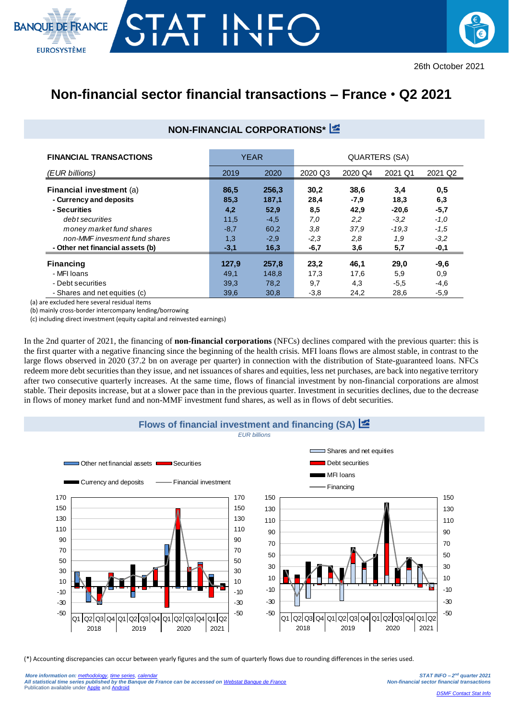## RANCE **EUROSYSTÈME**



## **Non-financial sector financial transactions – France** • **Q2 2021**

## **NON-FINANCIAL CORPORATIONS\***

| <b>FINANCIAL TRANSACTIONS</b>    | <b>YEAR</b> |        | QUARTERS (SA) |         |         |         |  |
|----------------------------------|-------------|--------|---------------|---------|---------|---------|--|
| (EUR billions)                   | 2019        | 2020   | 2020 Q3       | 2020 Q4 | 2021 Q1 | 2021 Q2 |  |
| Financial investment (a)         | 86,5        | 256,3  | 30,2          | 38,6    | 3,4     | 0,5     |  |
| - Currency and deposits          | 85,3        | 187,1  | 28,4          | $-7,9$  | 18,3    | 6,3     |  |
| - Securities                     | 4,2         | 52,9   | 8,5           | 42,9    | $-20,6$ | $-5,7$  |  |
| debt securities                  | 11,5        | $-4,5$ | 7,0           | 2,2     | $-3,2$  | $-1,0$  |  |
| money market fund shares         | $-8,7$      | 60,2   | 3,8           | 37,9    | $-19.3$ | $-1,5$  |  |
| non-MMF invesment fund shares    | 1,3         | $-2,9$ | $-2,3$        | 2,8     | 1.9     | $-3.2$  |  |
| - Other net financial assets (b) | $-3,1$      | 16,3   | $-6,7$        | 3,6     | 5,7     | -0,1    |  |
| <b>Financing</b>                 | 127.9       | 257.8  | 23,2          | 46,1    | 29,0    | $-9,6$  |  |
| - MFI Ioans                      | 49,1        | 148,8  | 17,3          | 17,6    | 5,9     | 0,9     |  |
| - Debt securities                | 39,3        | 78,2   | 9,7           | 4,3     | $-5,5$  | $-4,6$  |  |
| - Shares and net equities (c)    | 39,6        | 30,8   | $-3,8$        | 24,2    | 28,6    | $-5.9$  |  |

(a) are excluded here several residual items

(b) mainly cross-border intercompany lending/borrowing

(c) including direct investment (equity capital and reinvested earnings)

In the 2nd quarter of 2021, the financing of **non-financial corporations** (NFCs) declines compared with the previous quarter: this is the first quarter with a negative financing since the beginning of the health crisis. MFI loans flows are almost stable, in contrast to the large flows observed in 2020 (37.2 bn on average per quarter) in connection with the distribution of State-guaranteed loans. NFCs redeem more debt securities than they issue, and net issuances of shares and equities, less net purchases, are back into negative territory after two consecutive quarterly increases. At the same time, flows of financial investment by non-financial corporations are almost stable. Their deposits increase, but at a slower pace than in the previous quarter. Investment in securities declines, due to the decrease in flows of money market fund and non-MMF investment fund shares, as well as in flows of debt securities.



(\*) Accounting discrepancies can occur between yearly figures and the sum of quarterly flows due to rounding differences in the series used.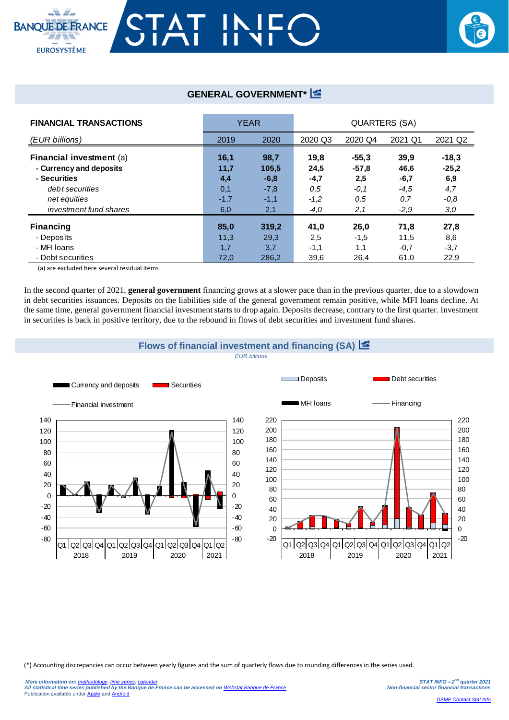

## **GENERAL GOVERNMENT\***

| <b>FINANCIAL TRANSACTIONS</b> | <b>YEAR</b> |        | QUARTERS (SA) |         |         |         |  |
|-------------------------------|-------------|--------|---------------|---------|---------|---------|--|
| (EUR billions)                | 2019        | 2020   | 2020 Q3       | 2020 Q4 | 2021 Q1 | 2021 Q2 |  |
| Financial investment (a)      | 16,1        | 98,7   | 19,8          | $-55,3$ | 39,9    | $-18,3$ |  |
| - Currency and deposits       | 11,7        | 105,5  | 24,5          | $-57,8$ | 46,6    | $-25.2$ |  |
| - Securities                  | 4,4         | $-6,8$ | $-4,7$        | 2,5     | $-6,7$  | 6,9     |  |
| debt securities               | 0,1         | $-7,8$ | 0,5           | $-0,1$  | $-4.5$  | 4,7     |  |
| net equities                  | $-1,7$      | $-1,1$ | $-1,2$        | 0.5     | 0,7     | $-0.8$  |  |
| investment fund shares        | 6,0         | 2,1    | $-4,0$        | 2,1     | $-2,9$  | 3,0     |  |
| <b>Financing</b>              | 85,0        | 319,2  | 41,0          | 26,0    | 71,8    | 27,8    |  |
| - Deposits                    | 11,3        | 29,3   | 2,5           | $-1,5$  | 11,5    | 8,6     |  |
| - MFI Ioans                   | 1,7         | 3,7    | $-1,1$        | 1,1     | $-0,7$  | $-3,7$  |  |
| - Debt securities             | 72,0        | 286.2  | 39,6          | 26,4    | 61,0    | 22,9    |  |

(a) are excluded here several residual items

In the second quarter of 2021, **general government** financing grows at a slower pace than in the previous quarter, due to a slowdown in debt securities issuances. Deposits on the liabilities side of the general government remain positive, while MFI loans decline. At the same time, general government financial investment starts to drop again. Deposits decrease, contrary to the first quarter. Investment in securities is back in positive territory, due to the rebound in flows of debt securities and investment fund shares.



(\*) Accounting discrepancies can occur between yearly figures and the sum of quarterly flows due to rounding differences in the series used.